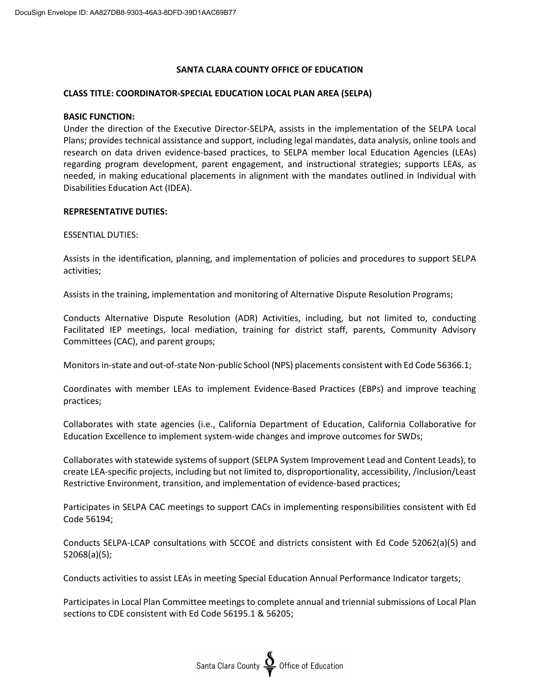# **SANTA CLARA COUNTY OFFICE OF EDUCATION**

### **CLASS TITLE: COORDINATOR-SPECIAL EDUCATION LOCAL PLAN AREA (SELPA)**

### **BASIC FUNCTION:**

Under the direction of the Executive Director-SELPA, assists in the implementation of the SELPA Local Plans; provides technical assistance and support, including legal mandates, data analysis, online tools and research on data driven evidence-based practices, to SELPA member local Education Agencies (LEAs) regarding program development, parent engagement, and instructional strategies; supports LEAs, as needed, in making educational placements in alignment with the mandates outlined in Individual with Disabilities Education Act (IDEA).

### **REPRESENTATIVE DUTIES:**

### ESSENTIAL DUTIES:

Assists in the identification, planning, and implementation of policies and procedures to support SELPA activities;

Assists in the training, implementation and monitoring of Alternative Dispute Resolution Programs;

Conducts Alternative Dispute Resolution (ADR) Activities, including, but not limited to, conducting Facilitated IEP meetings, local mediation, training for district staff, parents, Community Advisory Committees (CAC), and parent groups;

Monitors in-state and out-of-state Non-public School (NPS) placements consistent with Ed Code 56366.1;

Coordinates with member LEAs to implement Evidence-Based Practices (EBPs) and improve teaching practices;

Collaborates with state agencies (i.e., California Department of Education, California Collaborative for Education Excellence to implement system-wide changes and improve outcomes for SWDs;

Collaborates with statewide systems of support (SELPA System Improvement Lead and Content Leads), to create LEA-specific projects, including but not limited to, disproportionality, accessibility, /inclusion/Least Restrictive Environment, transition, and implementation of evidence-based practices;

Participates in SELPA CAC meetings to support CACs in implementing responsibilities consistent with Ed Code 56194;

Conducts SELPA-LCAP consultations with SCCOE and districts consistent with Ed Code 52062(a)(5) and 52068(a)(5);

Conducts activities to assist LEAs in meeting Special Education Annual Performance Indicator targets;

Participates in Local Plan Committee meetings to complete annual and triennial submissions of Local Plan sections to CDE consistent with Ed Code 56195.1 & 56205;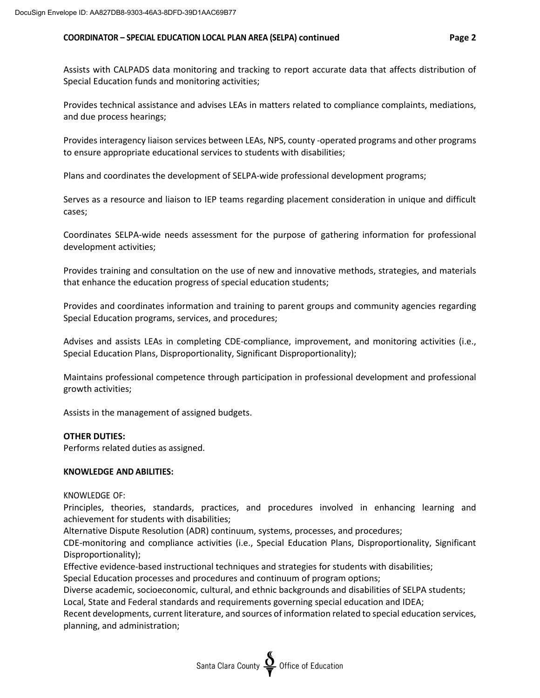### **COORDINATOR – SPECIAL EDUCATION LOCAL PLAN AREA (SELPA) continued Page 2**

Assists with CALPADS data monitoring and tracking to report accurate data that affects distribution of Special Education funds and monitoring activities;

Provides technical assistance and advises LEAs in matters related to compliance complaints, mediations, and due process hearings;

Provides interagency liaison services between LEAs, NPS, county -operated programs and other programs to ensure appropriate educational services to students with disabilities;

Plans and coordinates the development of SELPA-wide professional development programs;

Serves as a resource and liaison to IEP teams regarding placement consideration in unique and difficult cases;

Coordinates SELPA-wide needs assessment for the purpose of gathering information for professional development activities;

Provides training and consultation on the use of new and innovative methods, strategies, and materials that enhance the education progress of special education students;

Provides and coordinates information and training to parent groups and community agencies regarding Special Education programs, services, and procedures;

Advises and assists LEAs in completing CDE-compliance, improvement, and monitoring activities (i.e., Special Education Plans, Disproportionality, Significant Disproportionality);

Maintains professional competence through participation in professional development and professional growth activities;

Assists in the management of assigned budgets.

## **OTHER DUTIES:**

Performs related duties as assigned.

### **KNOWLEDGE AND ABILITIES:**

KNOWLEDGE OF:

Principles, theories, standards, practices, and procedures involved in enhancing learning and achievement for students with disabilities;

Alternative Dispute Resolution (ADR) continuum, systems, processes, and procedures;

CDE-monitoring and compliance activities (i.e., Special Education Plans, Disproportionality, Significant Disproportionality);

Effective evidence-based instructional techniques and strategies for students with disabilities;

Special Education processes and procedures and continuum of program options;

Diverse academic, socioeconomic, cultural, and ethnic backgrounds and disabilities of SELPA students;

Local, State and Federal standards and requirements governing special education and IDEA;

Recent developments, current literature, and sources of information related to special education services, planning, and administration;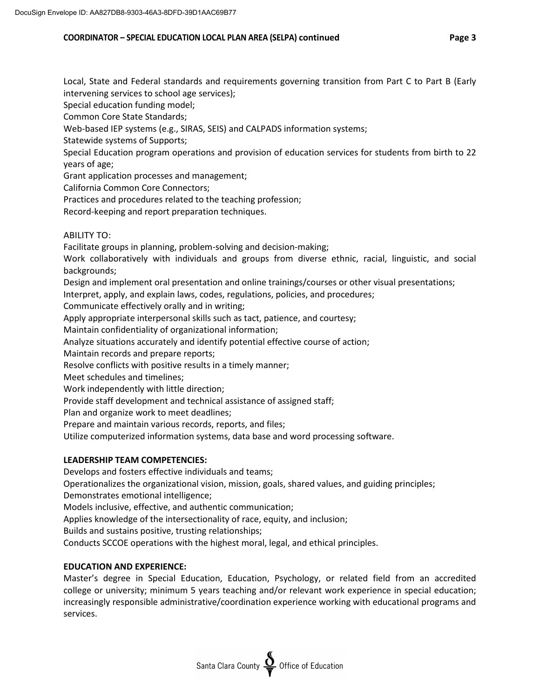### **COORDINATOR – SPECIAL EDUCATION LOCAL PLAN AREA (SELPA) continued Page 3**

Local, State and Federal standards and requirements governing transition from Part C to Part B (Early intervening services to school age services);

Special education funding model;

Common Core State Standards;

Web-based IEP systems (e.g., SIRAS, SEIS) and CALPADS information systems;

Statewide systems of Supports;

Special Education program operations and provision of education services for students from birth to 22 years of age;

Grant application processes and management;

California Common Core Connectors;

Practices and procedures related to the teaching profession;

Record-keeping and report preparation techniques.

# ABILITY TO:

Facilitate groups in planning, problem-solving and decision-making;

Work collaboratively with individuals and groups from diverse ethnic, racial, linguistic, and social backgrounds;

Design and implement oral presentation and online trainings/courses or other visual presentations;

Interpret, apply, and explain laws, codes, regulations, policies, and procedures;

Communicate effectively orally and in writing;

Apply appropriate interpersonal skills such as tact, patience, and courtesy;

Maintain confidentiality of organizational information;

Analyze situations accurately and identify potential effective course of action;

Maintain records and prepare reports;

Resolve conflicts with positive results in a timely manner;

Meet schedules and timelines;

Work independently with little direction;

Provide staff development and technical assistance of assigned staff;

Plan and organize work to meet deadlines;

Prepare and maintain various records, reports, and files;

Utilize computerized information systems, data base and word processing software.

# **LEADERSHIP TEAM COMPETENCIES:**

Develops and fosters effective individuals and teams;

Operationalizes the organizational vision, mission, goals, shared values, and guiding principles;

Demonstrates emotional intelligence;

Models inclusive, effective, and authentic communication;

Applies knowledge of the intersectionality of race, equity, and inclusion;

Builds and sustains positive, trusting relationships;

Conducts SCCOE operations with the highest moral, legal, and ethical principles.

# **EDUCATION AND EXPERIENCE:**

Master's degree in Special Education, Education, Psychology, or related field from an accredited college or university; minimum 5 years teaching and/or relevant work experience in special education; increasingly responsible administrative/coordination experience working with educational programs and services.